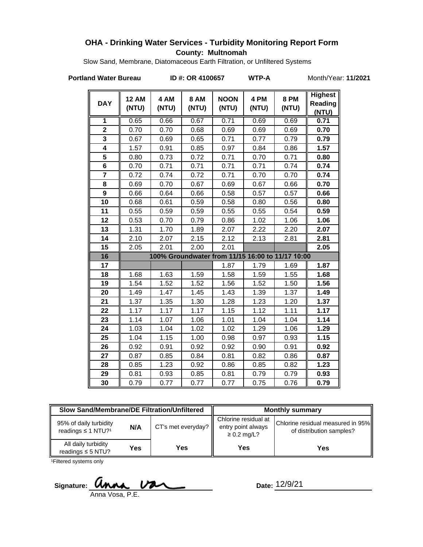### **OHA - Drinking Water Services - Turbidity Monitoring Report Form County: Multnomah**

Slow Sand, Membrane, Diatomaceous Earth Filtration, or Unfiltered Systems

**Portland Water Bureau ID #: OR 4100657 WTP-A** Month/Year: 11/2021

| <b>DAY</b>              | <b>12 AM</b><br>(NTU) | 4 AM<br>(NTU) | <b>8 AM</b><br>(NTU) | <b>NOON</b><br>(NTU) | 4 PM<br>(NTU) | <b>8 PM</b><br>(NTU)                             | <b>Highest</b><br>Reading<br>(NTU) |
|-------------------------|-----------------------|---------------|----------------------|----------------------|---------------|--------------------------------------------------|------------------------------------|
| 1                       | 0.65                  | 0.66          | 0.67                 | 0.71                 | 0.69          | 0.69                                             | 0.71                               |
| $\overline{2}$          | 0.70                  | 0.70          | 0.68                 | 0.69                 | 0.69          | 0.69                                             | 0.70                               |
| 3                       | 0.67                  | 0.69          | 0.65                 | 0.71                 | 0.77          | 0.79                                             | 0.79                               |
| $\overline{\mathbf{4}}$ | 1.57                  | 0.91          | 0.85                 | 0.97                 | 0.84          | 0.86                                             | 1.57                               |
| 5                       | 0.80                  | 0.73          | 0.72                 | 0.71                 | 0.70          | 0.71                                             | 0.80                               |
| 6                       | 0.70                  | 0.71          | 0.71                 | 0.71                 | 0.71          | 0.74                                             | 0.74                               |
| $\overline{7}$          | 0.72                  | 0.74          | 0.72                 | 0.71                 | 0.70          | 0.70                                             | 0.74                               |
| 8                       | 0.69                  | 0.70          | 0.67                 | 0.69                 | 0.67          | 0.66                                             | 0.70                               |
| $\overline{9}$          | 0.66                  | 0.64          | 0.66                 | 0.58                 | 0.57          | 0.57                                             | 0.66                               |
| 10                      | 0.68                  | 0.61          | 0.59                 | 0.58                 | 0.80          | 0.56                                             | 0.80                               |
| 11                      | 0.55                  | 0.59          | 0.59                 | 0.55                 | 0.55          | 0.54                                             | 0.59                               |
| 12                      | 0.53                  | 0.70          | 0.79                 | 0.86                 | 1.02          | 1.06                                             | 1.06                               |
| 13                      | 1.31                  | 1.70          | 1.89                 | 2.07                 | 2.22          | 2.20                                             | 2.07                               |
| 14                      | 2.10                  | 2.07          | 2.15                 | 2.12                 | 2.13          | 2.81                                             | 2.81                               |
| 15                      | 2.05                  | 2.01          | 2.00                 | 2.01                 |               |                                                  | 2.05                               |
| 16                      |                       |               |                      |                      |               | 100% Groundwater from 11/15 16:00 to 11/17 10:00 |                                    |
| 17                      |                       |               |                      | 1.87                 | 1.79          | 1.69                                             | 1.87                               |
| 18                      | 1.68                  | 1.63          | 1.59                 | 1.58                 | 1.59          | 1.55                                             | 1.68                               |
| 19                      | 1.54                  | 1.52          | 1.52                 | 1.56                 | 1.52          | 1.50                                             | 1.56                               |
| 20                      | 1.49                  | 1.47          | 1.45                 | 1.43                 | 1.39          | 1.37                                             | 1.49                               |
| 21                      | 1.37                  | 1.35          | 1.30                 | 1.28                 | 1.23          | 1.20                                             | 1.37                               |
| 22                      | 1.17                  | 1.17          | 1.17                 | 1.15                 | 1.12          | 1.11                                             | 1.17                               |
| 23                      | 1.14                  | 1.07          | 1.06                 | 1.01                 | 1.04          | 1.04                                             | 1.14                               |
| 24                      | 1.03                  | 1.04          | 1.02                 | 1.02                 | 1.29          | 1.06                                             | 1.29                               |
| 25                      | 1.04                  | 1.15          | 1.00                 | 0.98                 | 0.97          | 0.93                                             | 1.15                               |
| 26                      | 0.92                  | 0.91          | 0.92                 | 0.92                 | 0.90          | 0.91                                             | 0.92                               |
| 27                      | 0.87                  | 0.85          | 0.84                 | 0.81                 | 0.82          | 0.86                                             | 0.87                               |
| 28                      | 0.85                  | 1.23          | 0.92                 | 0.86                 | 0.85          | 0.82                                             | 1.23                               |
| 29                      | 0.81                  | 0.93          | 0.85                 | 0.81                 | 0.79          | 0.79                                             | 0.93                               |
| 30                      | 0.79                  | 0.77          | 0.77                 | 0.77                 | 0.75          | 0.76                                             | 0.79                               |

| <b>Slow Sand/Membrane/DE Filtration/Unfiltered</b>                   |     |                    | <b>Monthly summary</b>                                         |                                                               |  |
|----------------------------------------------------------------------|-----|--------------------|----------------------------------------------------------------|---------------------------------------------------------------|--|
| 95% of daily turbidity<br>N/A<br>readings $\leq$ 1 NTU? <sup>1</sup> |     | CT's met everyday? | Chlorine residual at<br>entry point always<br>$\geq$ 0.2 mg/L? | Chlorine residual measured in 95%<br>of distribution samples? |  |
| All daily turbidity<br>readings $\leq$ 5 NTU?                        | Yes | Yes                | Yes                                                            | Yes                                                           |  |

<sup>1</sup>Filtered systems only

Signature: **Unna Va** 

Date: 12/9/21

Anna Vosa, P.E.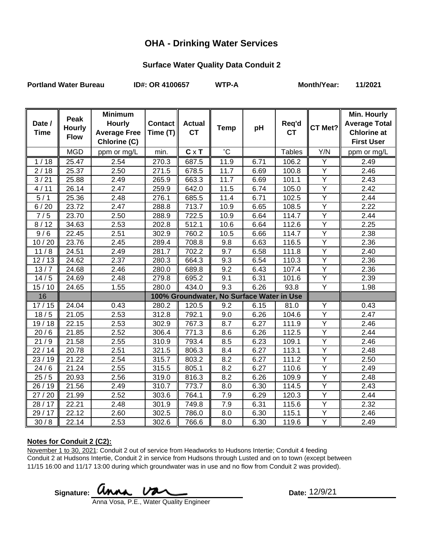## **OHA - Drinking Water Services**

#### **Surface Water Quality Data Conduit 2**

Portland Water Bureau **ID#: OR 4100657** WTP-A Month/Year: 11/2021

| Date /<br><b>Time</b> | Peak<br><b>Hourly</b><br><b>Flow</b> | <b>Minimum</b><br><b>Hourly</b><br><b>Average Free</b><br>Chlorine (C) | Contact   <br>Time $(T)$ | <b>Actual</b><br><b>CT</b> | <b>Temp</b>                               | pH   | Req'd<br><b>CT</b> | CT Met?        | <b>Min. Hourly</b><br><b>Average Total</b><br><b>Chlorine at</b><br><b>First User</b> |
|-----------------------|--------------------------------------|------------------------------------------------------------------------|--------------------------|----------------------------|-------------------------------------------|------|--------------------|----------------|---------------------------------------------------------------------------------------|
|                       | <b>MGD</b>                           | ppm or mg/L                                                            | min.                     | $C \times T$               | $^{\circ}$ C                              |      | <b>Tables</b>      | Y/N            | ppm or mg/L                                                                           |
| 1/18                  | 25.47                                | 2.54                                                                   | 270.3                    | 687.5                      | 11.9                                      | 6.71 | 106.2              | Y              | 2.49                                                                                  |
| 2/18                  | 25.37                                | 2.50                                                                   | 271.5                    | 678.5                      | 11.7                                      | 6.69 | 100.8              | $\overline{Y}$ | 2.46                                                                                  |
| 3/21                  | 25.88                                | 2.49                                                                   | 265.9                    | 663.3                      | 11.7                                      | 6.69 | 101.1              | Y              | 2.43                                                                                  |
| 4/11                  | 26.14                                | 2.47                                                                   | 259.9                    | 642.0                      | 11.5                                      | 6.74 | 105.0              | $\overline{Y}$ | 2.42                                                                                  |
| 5/1                   | 25.36                                | 2.48                                                                   | 276.1                    | 685.5                      | 11.4                                      | 6.71 | 102.5              | $\overline{Y}$ | 2.44                                                                                  |
| 6/20                  | 23.72                                | 2.47                                                                   | 288.8                    | 713.7                      | 10.9                                      | 6.65 | 108.5              | $\overline{Y}$ | 2.22                                                                                  |
| 7/5                   | 23.70                                | 2.50                                                                   | 288.9                    | 722.5                      | 10.9                                      | 6.64 | 114.7              | $\overline{Y}$ | 2.44                                                                                  |
| 8/12                  | 34.63                                | 2.53                                                                   | 202.8                    | 512.1                      | 10.6                                      | 6.64 | 112.6              | Y              | 2.25                                                                                  |
| 9/6                   | 22.45                                | 2.51                                                                   | 302.9                    | 760.2                      | 10.5                                      | 6.66 | $\overline{1}14.7$ | $\overline{Y}$ | 2.38                                                                                  |
| 10/20                 | 23.76                                | 2.45                                                                   | 289.4                    | 708.8                      | 9.8                                       | 6.63 | 116.5              | Y              | 2.36                                                                                  |
| 11/8                  | 24.51                                | 2.49                                                                   | 281.7                    | 702.2                      | 9.7                                       | 6.58 | 111.8              | Y              | 2.40                                                                                  |
| 12/13                 | 24.62                                | 2.37                                                                   | 280.3                    | 664.3                      | 9.3                                       | 6.54 | 110.3              | $\overline{Y}$ | 2.36                                                                                  |
| 13/7                  | 24.68                                | 2.46                                                                   | 280.0                    | 689.8                      | 9.2                                       | 6.43 | 107.4              | Y              | 2.36                                                                                  |
| 14/5                  | 24.69                                | 2.48                                                                   | 279.8                    | 695.2                      | 9.1                                       | 6.31 | 101.6              | $\overline{Y}$ | 2.39                                                                                  |
| 15/10                 | 24.65                                | 1.55                                                                   | 280.0                    | 434.0                      | 9.3                                       | 6.26 | 93.8               | $\overline{Y}$ | 1.98                                                                                  |
| 16                    |                                      |                                                                        |                          |                            | 100% Groundwater, No Surface Water in Use |      |                    |                |                                                                                       |
| 17/15                 | 24.04                                | 0.43                                                                   | 280.2                    | 120.5                      | 9.2                                       | 6.15 | 81.0               | Υ              | 0.43                                                                                  |
| 18/5                  | 21.05                                | 2.53                                                                   | 312.8                    | 792.1                      | 9.0                                       | 6.26 | 104.6              | Y              | 2.47                                                                                  |
| 19/18                 | 22.15                                | 2.53                                                                   | 302.9                    | 767.3                      | 8.7                                       | 6.27 | 111.9              | Y              | 2.46                                                                                  |
| 20/6                  | 21.85                                | 2.52                                                                   | 306.4                    | 771.3                      | 8.6                                       | 6.26 | 112.5              | $\overline{Y}$ | 2.44                                                                                  |
| 21/9                  | 21.58                                | 2.55                                                                   | 310.9                    | 793.4                      | 8.5                                       | 6.23 | 109.1              | Y              | 2.46                                                                                  |
| 22/14                 | 20.78                                | 2.51                                                                   | 321.5                    | 806.3                      | 8.4                                       | 6.27 | 113.1              | $\overline{Y}$ | 2.48                                                                                  |
| 23/19                 | 21.22                                | 2.54                                                                   | 315.7                    | 803.2                      | 8.2                                       | 6.27 | 111.2              | Ÿ              | 2.50                                                                                  |
| 24/6                  | 21.24                                | 2.55                                                                   | 315.5                    | 805.1                      | 8.2                                       | 6.27 | 110.6              | $\overline{Y}$ | 2.49                                                                                  |
| 25/5                  | 20.93                                | 2.56                                                                   | 319.0                    | 816.3                      | 8.2                                       | 6.26 | 109.9              | $\overline{Y}$ | 2.48                                                                                  |
| 26 / 19               | 21.56                                | 2.49                                                                   | 310.7                    | 773.7                      | 8.0                                       | 6.30 | 114.5              | Υ              | 2.43                                                                                  |
| 27/20                 | 21.99                                | 2.52                                                                   | 303.6                    | 764.1                      | 7.9                                       | 6.29 | 120.3              | $\overline{Y}$ | 2.44                                                                                  |
| 28 / 17               | 22.21                                | 2.48                                                                   | 301.9                    | 749.8                      | 7.9                                       | 6.31 | 115.6              | Υ              | 2.32                                                                                  |
| 29 / 17               | 22.12                                | 2.60                                                                   | 302.5                    | 786.0                      | 8.0                                       | 6.30 | 115.1              | Y              | 2.46                                                                                  |
| 30/8                  | 22.14                                | 2.53                                                                   | 302.6                    | 766.6                      | 8.0                                       | 6.30 | 119.6              | $\overline{Y}$ | 2.49                                                                                  |

#### **Notes for Conduit 2 (C2):**

November 1 to 30, 2021: Conduit 2 out of service from Headworks to Hudsons Intertie; Conduit 4 feeding Conduit 2 at Hudsons Intertie, Conduit 2 in service from Hudsons through Lusted and on to town (except between 11/15 16:00 and 11/17 13:00 during which groundwater was in use and no flow from Conduit 2 was provided).

Signature: **WINAL VALL** 2004

Date: 12/9/21

Anna Vosa, P.E., Water Quality Engineer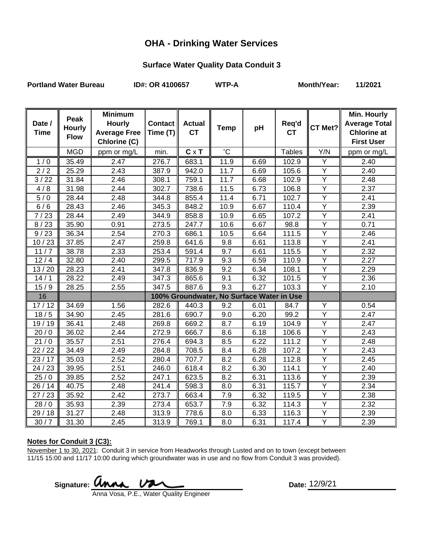### **OHA - Drinking Water Services**

## **Surface Water Quality Data Conduit 3**

Portland Water Bureau **ID#: OR 4100657** WTP-A Month/Year: 11/2021

| Date /      | Peak<br><b>Hourly</b> | <b>Minimum</b><br><b>Hourly</b>     | <b>Contact</b> | <b>Actual</b> | <b>Temp</b>                               | pH   | Req'd         | CT Met?        | Min. Hourly<br><b>Average Total</b>     |
|-------------|-----------------------|-------------------------------------|----------------|---------------|-------------------------------------------|------|---------------|----------------|-----------------------------------------|
| <b>Time</b> | <b>Flow</b>           | <b>Average Free</b><br>Chlorine (C) | Time (T)       | <b>CT</b>     |                                           |      | <b>CT</b>     |                | <b>Chlorine at</b><br><b>First User</b> |
|             | <b>MGD</b>            | ppm or mg/L                         | min.           | $C \times T$  | $^{\circ}C$                               |      | <b>Tables</b> | Y/N            | ppm or mg/L                             |
| 1/0         | 35.49                 | 2.47                                | 276.7          | 683.1         | 11.9                                      | 6.69 | 102.9         | Y              | 2.40                                    |
| 2/2         | 25.29                 | 2.43                                | 387.9          | 942.0         | 11.7                                      | 6.69 | 105.6         | $\overline{Y}$ | 2.40                                    |
| 3/22        | 31.84                 | 2.46                                | 308.1          | 759.1         | 11.7                                      | 6.68 | 102.9         | Y              | 2.48                                    |
| 4/8         | 31.98                 | 2.44                                | 302.7          | 738.6         | 11.5                                      | 6.73 | 106.8         | $\overline{Y}$ | $\overline{2.37}$                       |
| 5/0         | 28.44                 | 2.48                                | 344.8          | 855.4         | 11.4                                      | 6.71 | 102.7         | Y              | 2.41                                    |
| 6/6         | 28.43                 | 2.46                                | 345.3          | 848.2         | 10.9                                      | 6.67 | 110.4         | $\overline{Y}$ | 2.39                                    |
| 7/23        | 28.44                 | 2.49                                | 344.9          | 858.8         | 10.9                                      | 6.65 | 107.2         | Ÿ              | 2.41                                    |
| 8/23        | 35.90                 | 0.91                                | 273.5          | 247.7         | 10.6                                      | 6.67 | 98.8          | $\overline{Y}$ | 0.71                                    |
| 9/23        | 36.34                 | 2.54                                | 270.3          | 686.1         | 10.5                                      | 6.64 | 111.5         | $\overline{Y}$ | 2.46                                    |
| 10/23       | 37.85                 | 2.47                                | 259.8          | 641.6         | 9.8                                       | 6.61 | 113.8         | Y              | 2.41                                    |
| 11<br>/7    | 38.78                 | 2.33                                | 253.4          | 591.4         | 9.7                                       | 6.61 | 115.5         | $\overline{Y}$ | 2.32                                    |
| 12/4        | 32.80                 | 2.40                                | 299.5          | 717.9         | 9.3                                       | 6.59 | 110.9         | Y              | 2.27                                    |
| 13/20       | 28.23                 | 2.41                                | 347.8          | 836.9         | 9.2                                       | 6.34 | 108.1         | $\overline{Y}$ | 2.29                                    |
| 14/1        | 28.22                 | 2.49                                | 347.3          | 865.6         | 9.1                                       | 6.32 | 101.5         | Y              | 2.36                                    |
| 15/9        | 28.25                 | 2.55                                | 347.5          | 887.6         | 9.3                                       | 6.27 | 103.3         | Y              | 2.10                                    |
| 16          |                       |                                     |                |               | 100% Groundwater, No Surface Water in Use |      |               |                |                                         |
| 17/12       | 34.69                 | 1.56                                | 282.6          | 440.3         | 9.2                                       | 6.01 | 84.7          | Υ              | 0.54                                    |
| 18/5        | 34.90                 | 2.45                                | 281.6          | 690.7         | 9.0                                       | 6.20 | 99.2          | Y              | 2.47                                    |
| 19/19       | 36.41                 | 2.48                                | 269.8          | 669.2         | 8.7                                       | 6.19 | 104.9         | Y              | 2.47                                    |
| 20/0        | 36.02                 | 2.44                                | 272.9          | 666.7         | 8.6                                       | 6.18 | 106.6         | $\overline{Y}$ | 2.43                                    |
| 21/0        | 35.57                 | 2.51                                | 276.4          | 694.3         | 8.5                                       | 6.22 | 111.2         | $\overline{Y}$ | 2.48                                    |
| 22/22       | 34.49                 | 2.49                                | 284.8          | 708.5         | 8.4                                       | 6.28 | 107.2         | Y              | 2.43                                    |
| 23/17       | 35.03                 | 2.52                                | 280.4          | 707.7         | 8.2                                       | 6.28 | 112.8         | $\overline{Y}$ | $\overline{2.45}$                       |
| 24/23       | 39.95                 | 2.51                                | 246.0          | 618.4         | 8.2                                       | 6.30 | 114.1         | $\overline{Y}$ | 2.40                                    |
| 25/0        | 39.85                 | 2.52                                | 247.1          | 623.5         | 8.2                                       | 6.31 | 113.6         | Ÿ              | 2.39                                    |
| 26/14       | 40.75                 | 2.48                                | 241.4          | 598.3         | 8.0                                       | 6.31 | 115.7         | Υ              | 2.34                                    |
| 27/23       | 35.92                 | 2.42                                | 273.7          | 663.4         | 7.9                                       | 6.32 | 119.5         | Y              | 2.38                                    |
| 28/0        | 35.93                 | 2.39                                | 273.4          | 653.7         | 7.9                                       | 6.32 | 114.3         | Y              | 2.32                                    |
| 29/18       | 31.27                 | 2.48                                | 313.9          | 778.6         | 8.0                                       | 6.33 | 116.3         | Ÿ              | 2.39                                    |
| 30/7        | 31.30                 | 2.45                                | 313.9          | 769.1         | 8.0                                       | 6.31 | 117.4         | $\overline{Y}$ | 2.39                                    |

#### **Notes for Conduit 3 (C3):**

November 1 to 30, 2021: Conduit 3 in service from Headworks through Lusted and on to town (except between 11/15 15:00 and 11/17 10:00 during which groundwater was in use and no flow from Conduit 3 was provided).

Signature: **Date:** Anna Vosa, P.E., Water Quality Engineer

Date: 12/9/21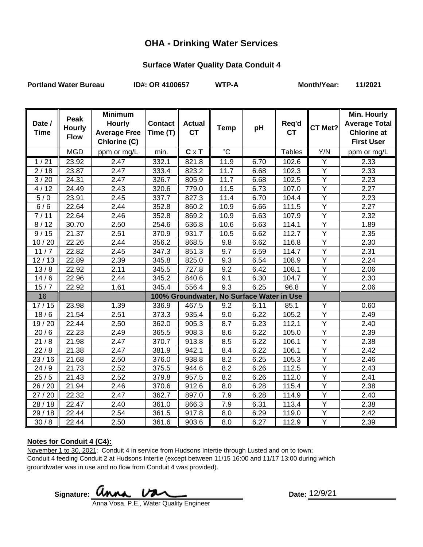### **OHA - Drinking Water Services**

## **Surface Water Quality Data Conduit 4**

Portland Water Bureau **ID#: OR 4100657** WTP-A Month/Year: 11/2021

| Date /      | Peak<br><b>Hourly</b> | <b>Minimum</b><br><b>Hourly</b>     | <b>Contact</b> | <b>Actual</b> | <b>Temp</b>                               | pH   | Req'd         | CT Met?        | Min. Hourly<br><b>Average Total</b>     |
|-------------|-----------------------|-------------------------------------|----------------|---------------|-------------------------------------------|------|---------------|----------------|-----------------------------------------|
| <b>Time</b> | <b>Flow</b>           | <b>Average Free</b><br>Chlorine (C) | Time (T)       | <b>CT</b>     |                                           |      | <b>CT</b>     |                | <b>Chlorine at</b><br><b>First User</b> |
|             | <b>MGD</b>            | ppm or mg/L                         | min.           | $C \times T$  | $^{\circ}C$                               |      | <b>Tables</b> | Y/N            | ppm or mg/L                             |
| 1/21        | 23.92                 | 2.47                                | 332.1          | 821.8         | 11.9                                      | 6.70 | 102.6         | Y              | 2.33                                    |
| 2/18        | 23.87                 | 2.47                                | 333.4          | 823.2         | 11.7                                      | 6.68 | 102.3         | $\overline{Y}$ | 2.33                                    |
| 3/20        | 24.31                 | 2.47                                | 326.7          | 805.9         | 11.7                                      | 6.68 | 102.5         | Y              | 2.23                                    |
| 4/12        | 24.49                 | 2.43                                | 320.6          | 779.0         | 11.5                                      | 6.73 | 107.0         | $\overline{Y}$ | 2.27                                    |
| 5/0         | 23.91                 | 2.45                                | 337.7          | 827.3         | 11.4                                      | 6.70 | 104.4         | Y              | 2.23                                    |
| 6/6         | 22.64                 | 2.44                                | 352.8          | 860.2         | 10.9                                      | 6.66 | 111.5         | $\overline{Y}$ | 2.27                                    |
| 7/11        | 22.64                 | 2.46                                | 352.8          | 869.2         | 10.9                                      | 6.63 | 107.9         | $\overline{Y}$ | 2.32                                    |
| 8/12        | 30.70                 | 2.50                                | 254.6          | 636.8         | 10.6                                      | 6.63 | 114.1         | $\overline{Y}$ | 1.89                                    |
| 9/15        | 21.37                 | 2.51                                | 370.9          | 931.7         | 10.5                                      | 6.62 | 112.7         | $\overline{Y}$ | 2.35                                    |
| 10/20       | 22.26                 | 2.44                                | 356.2          | 868.5         | 9.8                                       | 6.62 | 116.8         | Y              | 2.30                                    |
| 11<br>/7    | 22.82                 | 2.45                                | 347.3          | 851.3         | 9.7                                       | 6.59 | 114.7         | $\overline{Y}$ | 2.31                                    |
| 12/13       | 22.89                 | 2.39                                | 345.8          | 825.0         | 9.3                                       | 6.54 | 108.9         | Y              | 2.24                                    |
| 13/8        | 22.92                 | 2.11                                | 345.5          | 727.8         | 9.2                                       | 6.42 | 108.1         | $\overline{Y}$ | 2.06                                    |
| 14/6        | 22.96                 | 2.44                                | 345.2          | 840.6         | 9.1                                       | 6.30 | 104.7         | Y              | 2.30                                    |
| 15/7        | 22.92                 | 1.61                                | 345.4          | 556.4         | 9.3                                       | 6.25 | 96.8          | Y              | 2.06                                    |
| 16          |                       |                                     |                |               | 100% Groundwater, No Surface Water in Use |      |               |                |                                         |
| 17/15       | 23.98                 | 1.39                                | 336.9          | 467.5         | 9.2                                       | 6.11 | 85.1          | Υ              | 0.60                                    |
| 18/6        | 21.54                 | 2.51                                | 373.3          | 935.4         | 9.0                                       | 6.22 | 105.2         | Y              | 2.49                                    |
| 19/20       | 22.44                 | 2.50                                | 362.0          | 905.3         | 8.7                                       | 6.23 | 112.1         | Y              | 2.40                                    |
| 20/6        | 22.23                 | 2.49                                | 365.5          | 908.3         | 8.6                                       | 6.22 | 105.0         | $\overline{Y}$ | 2.39                                    |
| 21/8        | 21.98                 | 2.47                                | 370.7          | 913.8         | 8.5                                       | 6.22 | 106.1         | $\overline{Y}$ | 2.38                                    |
| 22/8        | 21.38                 | 2.47                                | 381.9          | 942.1         | 8.4                                       | 6.22 | 106.1         | Y              | 2.42                                    |
| 23/16       | 21.68                 | 2.50                                | 376.0          | 938.8         | 8.2                                       | 6.25 | 105.3         | $\overline{Y}$ | 2.46                                    |
| 24/9        | 21.73                 | 2.52                                | 375.5          | 944.6         | 8.2                                       | 6.26 | 112.5         | $\overline{Y}$ | 2.43                                    |
| 25/5        | 21.43                 | 2.52                                | 379.8          | 957.5         | 8.2                                       | 6.26 | 112.0         | Ÿ              | 2.41                                    |
| 26 / 20     | 21.94                 | 2.46                                | 370.6          | 912.6         | 8.0                                       | 6.28 | 115.4         | Υ              | 2.38                                    |
| 27/20       | 22.32                 | 2.47                                | 362.7          | 897.0         | 7.9                                       | 6.28 | 114.9         | Y              | 2.40                                    |
| 28/18       | 22.47                 | 2.40                                | 361.0          | 866.3         | 7.9                                       | 6.31 | 113.4         | Y              | 2.38                                    |
| 29/18       | 22.44                 | 2.54                                | 361.5          | 917.8         | 8.0                                       | 6.29 | 119.0         | Ÿ              | 2.42                                    |
| 30/8        | 22.44                 | 2.50                                | 361.6          | 903.6         | 8.0                                       | 6.27 | 112.9         | $\overline{Y}$ | 2.39                                    |

#### **Notes for Conduit 4 (C4):**

November 1 to 30, 2021: Conduit 4 in service from Hudsons Intertie through Lusted and on to town; Conduit 4 feeding Conduit 2 at Hudsons Intertie (except between 11/15 16:00 and 11/17 13:00 during which groundwater was in use and no flow from Conduit 4 was provided).

**Signature:** 

Date: 12/9/21

Anna Vosa, P.E., Water Quality Engineer